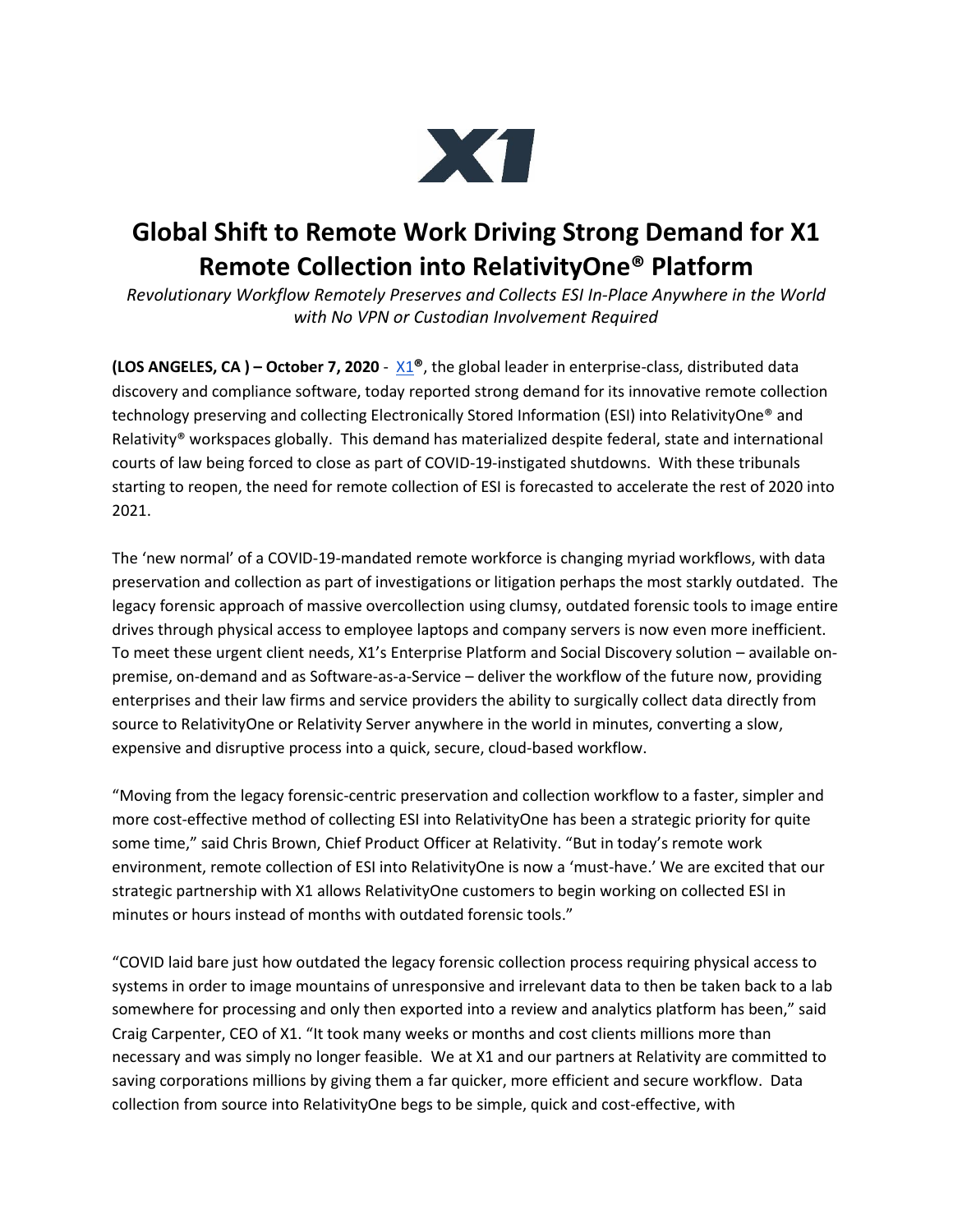

## **Global Shift to Remote Work Driving Strong Demand for X1 Remote Collection into RelativityOne® Platform**

*Revolutionary Workflow Remotely Preserves and Collects ESI In-Place Anywhere in the World with No VPN or Custodian Involvement Required*

**(LOS ANGELES, CA) – October 7, 2020** -  $X1^{\circ}$ , the global leader in enterprise-class, distributed data discovery and compliance software, today reported strong demand for its innovative remote collection technology preserving and collecting Electronically Stored Information (ESI) into RelativityOne® and Relativity® workspaces globally. This demand has materialized despite federal, state and international courts of law being forced to close as part of COVID-19-instigated shutdowns. With these tribunals starting to reopen, the need for remote collection of ESI is forecasted to accelerate the rest of 2020 into 2021.

The 'new normal' of a COVID-19-mandated remote workforce is changing myriad workflows, with data preservation and collection as part of investigations or litigation perhaps the most starkly outdated. The legacy forensic approach of massive overcollection using clumsy, outdated forensic tools to image entire drives through physical access to employee laptops and company servers is now even more inefficient. To meet these urgent client needs, X1's Enterprise Platform and Social Discovery solution – available onpremise, on-demand and as Software-as-a-Service – deliver the workflow of the future now, providing enterprises and their law firms and service providers the ability to surgically collect data directly from source to RelativityOne or Relativity Server anywhere in the world in minutes, converting a slow, expensive and disruptive process into a quick, secure, cloud-based workflow.

"Moving from the legacy forensic-centric preservation and collection workflow to a faster, simpler and more cost-effective method of collecting ESI into RelativityOne has been a strategic priority for quite some time," said Chris Brown, Chief Product Officer at Relativity. "But in today's remote work environment, remote collection of ESI into RelativityOne is now a 'must-have.' We are excited that our strategic partnership with X1 allows RelativityOne customers to begin working on collected ESI in minutes or hours instead of months with outdated forensic tools."

"COVID laid bare just how outdated the legacy forensic collection process requiring physical access to systems in order to image mountains of unresponsive and irrelevant data to then be taken back to a lab somewhere for processing and only then exported into a review and analytics platform has been," said Craig Carpenter, CEO of X1. "It took many weeks or months and cost clients millions more than necessary and was simply no longer feasible. We at X1 and our partners at Relativity are committed to saving corporations millions by giving them a far quicker, more efficient and secure workflow. Data collection from source into RelativityOne begs to be simple, quick and cost-effective, with